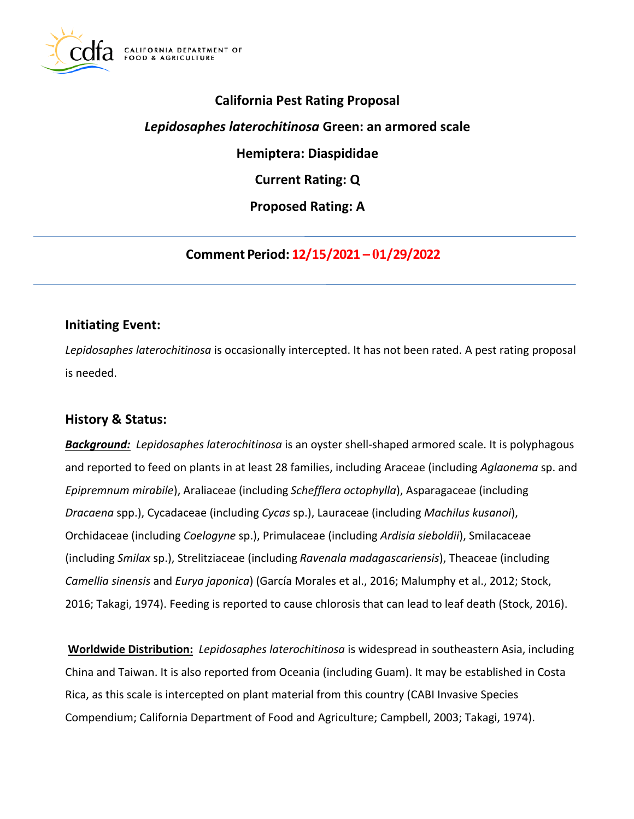

# **California Pest Rating Proposal**

# *Lepidosaphes laterochitinosa* **Green: an armored scale**

**Hemiptera: Diaspididae** 

**Current Rating: Q** 

**Proposed Rating: A** 

**Comment Period: 12/15/2021 – 01/29/2022**

## **Initiating Event:**

*Lepidosaphes laterochitinosa* is occasionally intercepted. It has not been rated. A pest rating proposal is needed.

# **History & Status:**

*Background: Lepidosaphes laterochitinosa* is an oyster shell-shaped armored scale. It is polyphagous and reported to feed on plants in at least 28 families, including Araceae (including *Aglaonema* sp. and *Epipremnum mirabile*), Araliaceae (including *Schefflera octophylla*), Asparagaceae (including *Dracaena* spp.), Cycadaceae (including *Cycas* sp.), Lauraceae (including *Machilus kusanoi*), Orchidaceae (including *Coelogyne* sp.), Primulaceae (including *Ardisia sieboldii*), Smilacaceae (including *Smilax* sp.), Strelitziaceae (including *Ravenala madagascariensis*), Theaceae (including *Camellia sinensis* and *Eurya japonica*) (García Morales et al., 2016; Malumphy et al., 2012; Stock, 2016; Takagi, 1974). Feeding is reported to cause chlorosis that can lead to leaf death (Stock, 2016).

**Worldwide Distribution:** *Lepidosaphes laterochitinosa* is widespread in southeastern Asia, including China and Taiwan. It is also reported from Oceania (including Guam). It may be established in Costa Rica, as this scale is intercepted on plant material from this country (CABI Invasive Species Compendium; California Department of Food and Agriculture; Campbell, 2003; Takagi, 1974).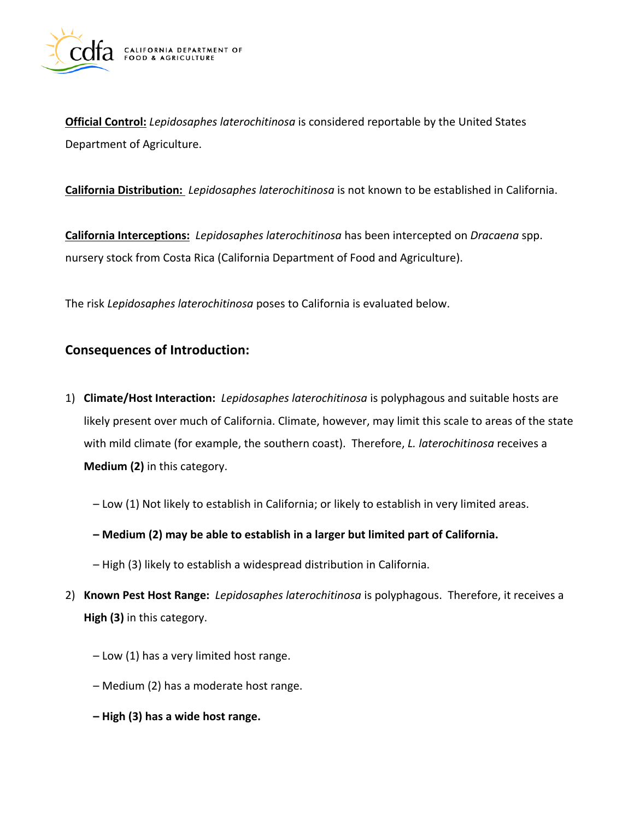

**Official Control:** *Lepidosaphes laterochitinosa* is considered reportable by the United States Department of Agriculture.

**California Distribution:** *Lepidosaphes laterochitinosa* is not known to be established in California.

**California Interceptions:** *Lepidosaphes laterochitinosa* has been intercepted on *Dracaena* spp. nursery stock from Costa Rica (California Department of Food and Agriculture).

The risk *Lepidosaphes laterochitinosa* poses to California is evaluated below.

## **Consequences of Introduction:**

- 1) **Climate/Host Interaction:** *Lepidosaphes laterochitinosa* is polyphagous and suitable hosts are likely present over much of California. Climate, however, may limit this scale to areas of the state with mild climate (for example, the southern coast). Therefore, *L. laterochitinosa* receives a **Medium (2)** in this category.
	- Low (1) Not likely to establish in California; or likely to establish in very limited areas.
	- **– Medium (2) may be able to establish in a larger but limited part of California.**
	- High (3) likely to establish a widespread distribution in California.
- 2) **Known Pest Host Range:** *Lepidosaphes laterochitinosa* is polyphagous. Therefore, it receives a **High (3)** in this category.
	- Low (1) has a very limited host range.
	- Medium (2) has a moderate host range.
	- **– High (3) has a wide host range.**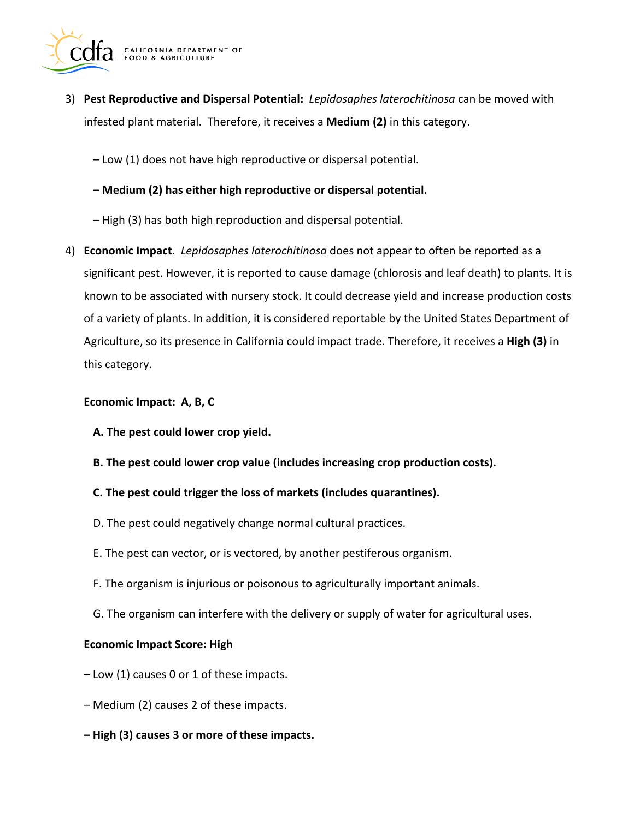

3) **Pest Reproductive and Dispersal Potential:** *Lepidosaphes laterochitinosa* can be moved with infested plant material. Therefore, it receives a **Medium (2)** in this category.

– Low (1) does not have high reproductive or dispersal potential.

- **– Medium (2) has either high reproductive or dispersal potential.**
- High (3) has both high reproduction and dispersal potential.
- 4) **Economic Impact**. *Lepidosaphes laterochitinosa* does not appear to often be reported as a significant pest. However, it is reported to cause damage (chlorosis and leaf death) to plants. It is known to be associated with nursery stock. It could decrease yield and increase production costs of a variety of plants. In addition, it is considered reportable by the United States Department of Agriculture, so its presence in California could impact trade. Therefore, it receives a **High (3)** in this category.

#### **Economic Impact: A, B, C**

- **A. The pest could lower crop yield.**
- **B. The pest could lower crop value (includes increasing crop production costs).**
- **C. The pest could trigger the loss of markets (includes quarantines).**
- D. The pest could negatively change normal cultural practices.
- E. The pest can vector, or is vectored, by another pestiferous organism.
- F. The organism is injurious or poisonous to agriculturally important animals.
- G. The organism can interfere with the delivery or supply of water for agricultural uses.

#### **Economic Impact Score: High**

- Low (1) causes 0 or 1 of these impacts.
- Medium (2) causes 2 of these impacts.
- **– High (3) causes 3 or more of these impacts.**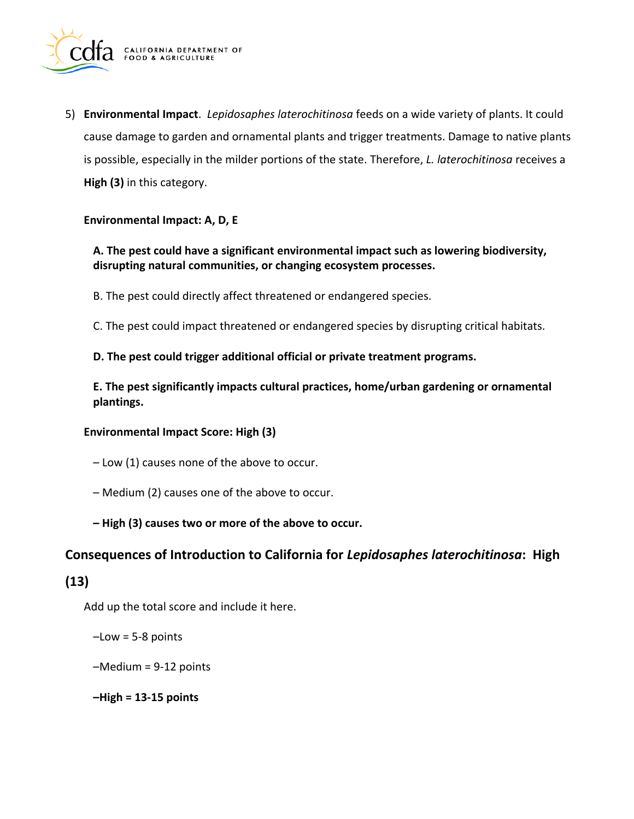

5) **Environmental Impact**. *Lepidosaphes laterochitinosa* feeds on a wide variety of plants. It could cause damage to garden and ornamental plants and trigger treatments. Damage to native plants is possible, especially in the milder portions of the state. Therefore, *L. laterochitinosa* receives a **High (3)** in this category.

#### **Environmental Impact: A, D, E**

# **A. The pest could have a significant environmental impact such as lowering biodiversity, disrupting natural communities, or changing ecosystem processes.**

B. The pest could directly affect threatened or endangered species.

C. The pest could impact threatened or endangered species by disrupting critical habitats.

#### **D. The pest could trigger additional official or private treatment programs.**

**E. The pest significantly impacts cultural practices, home/urban gardening or ornamental plantings.** 

#### **Environmental Impact Score: High (3)**

- Low (1) causes none of the above to occur.
- Medium (2) causes one of the above to occur.
- **– High (3) causes two or more of the above to occur.**

### **Consequences of Introduction to California for** *Lepidosaphes laterochitinosa***: High**

### **(13)**

Add up the total score and include it here.

 $-Low = 5-8$  points

–Medium = 9-12 points

**–High = 13-15 points**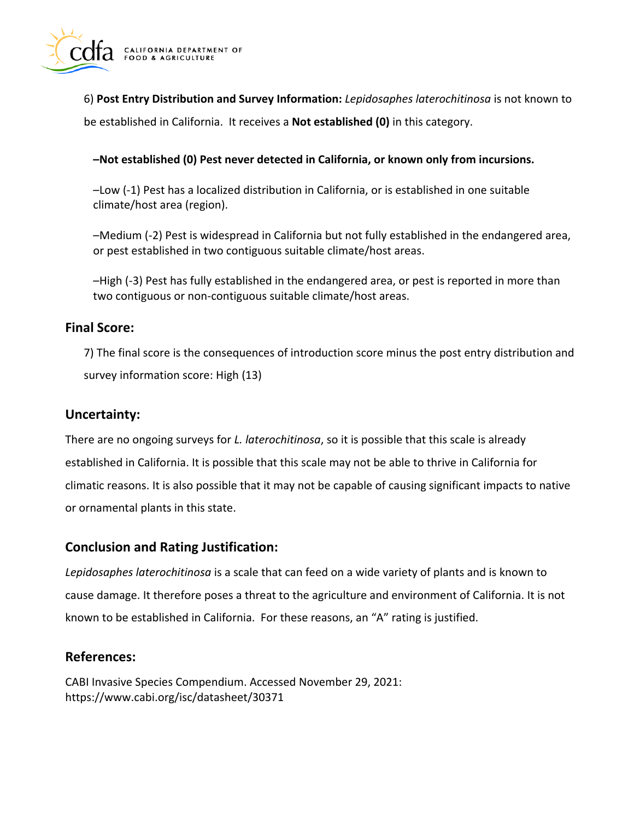

6) **Post Entry Distribution and Survey Information:** *Lepidosaphes laterochitinosa* is not known to be established in California. It receives a **Not established (0)** in this category.

#### **–Not established (0) Pest never detected in California, or known only from incursions.**

–Low (-1) Pest has a localized distribution in California, or is established in one suitable climate/host area (region).

–Medium (-2) Pest is widespread in California but not fully established in the endangered area, or pest established in two contiguous suitable climate/host areas.

–High (-3) Pest has fully established in the endangered area, or pest is reported in more than two contiguous or non-contiguous suitable climate/host areas.

### **Final Score:**

7) The final score is the consequences of introduction score minus the post entry distribution and survey information score: High (13)

### **Uncertainty:**

There are no ongoing surveys for *L. laterochitinosa*, so it is possible that this scale is already established in California. It is possible that this scale may not be able to thrive in California for climatic reasons. It is also possible that it may not be capable of causing significant impacts to native or ornamental plants in this state.

### **Conclusion and Rating Justification:**

*Lepidosaphes laterochitinosa* is a scale that can feed on a wide variety of plants and is known to cause damage. It therefore poses a threat to the agriculture and environment of California. It is not known to be established in California. For these reasons, an "A" rating is justified.

### **References:**

CABI Invasive Species Compendium. Accessed November 29, 2021: <https://www.cabi.org/isc/datasheet/30371>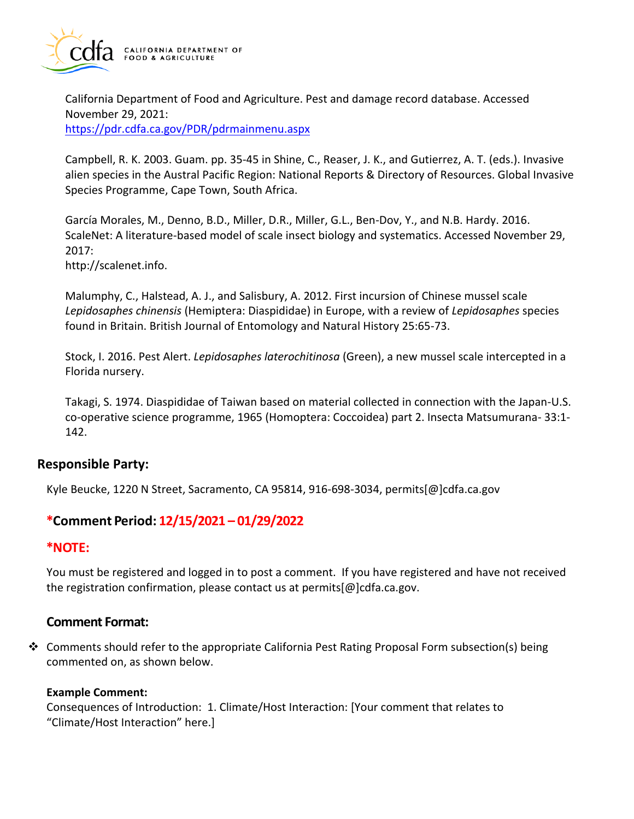

California Department of Food and Agriculture. Pest and damage record database. Accessed November 29, 2021: <https://pdr.cdfa.ca.gov/PDR/pdrmainmenu.aspx>

Campbell, R. K. 2003. Guam. pp. 35-45 in Shine, C., Reaser, J. K., and Gutierrez, A. T. (eds.). Invasive alien species in the Austral Pacific Region: National Reports & Directory of Resources. Global Invasive Species Programme, Cape Town, South Africa.

García Morales, M., Denno, B.D., Miller, D.R., Miller, G.L., Ben-Dov, Y., and N.B. Hardy. 2016. ScaleNet: A literature-based model of scale insect biology and systematics. Accessed November 29, 2017:

[http://scalenet.info.](http://scalenet.info)

Malumphy, C., Halstead, A. J., and Salisbury, A. 2012. First incursion of Chinese mussel scale *Lepidosaphes chinensis* (Hemiptera: Diaspididae) in Europe, with a review of *Lepidosaphes* species found in Britain. British Journal of Entomology and Natural History 25:65-73.

Stock, I. 2016. Pest Alert. *Lepidosaphes laterochitinosa* (Green), a new mussel scale intercepted in a Florida nursery.

Takagi, S. 1974. Diaspididae of Taiwan based on material collected in connection with the Japan-U.S. co-operative science programme, 1965 (Homoptera: Coccoidea) part 2. Insecta Matsumurana- 33:1- 142.

### **Responsible Party:**

Kyle Beucke, 1220 N Street, Sacramento, CA 95814, 916-698-3034, [permits\[@\]cdfa.ca.gov](https://permits[@]cdfa.ca.gov) 

# **\*Comment Period: 12/15/2021 – 01/29/2022**

### **\*NOTE:**

You must be registered and logged in to post a comment. If you have registered and have not received the registration confirmation, please contact us at [permits\[@\]cdfa.ca.gov](https://permits[@]cdfa.ca.gov).

## **Comment Format:**

❖ Comments should refer to the appropriate California Pest Rating Proposal Form subsection(s) being commented on, as shown below.

#### **Example Comment:**

Consequences of Introduction: 1. Climate/Host Interaction: [Your comment that relates to "Climate/Host Interaction" here.]